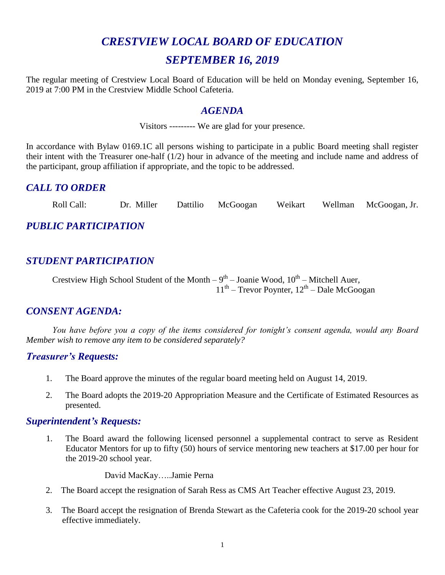# *CRESTVIEW LOCAL BOARD OF EDUCATION SEPTEMBER 16, 2019*

The regular meeting of Crestview Local Board of Education will be held on Monday evening, September 16, 2019 at 7:00 PM in the Crestview Middle School Cafeteria.

#### *AGENDA*

Visitors --------- We are glad for your presence.

In accordance with Bylaw 0169.1C all persons wishing to participate in a public Board meeting shall register their intent with the Treasurer one-half (1/2) hour in advance of the meeting and include name and address of the participant, group affiliation if appropriate, and the topic to be addressed.

#### *CALL TO ORDER*

Roll Call: Dr. Miller Dattilio McGoogan Weikart Wellman McGoogan, Jr.

*PUBLIC PARTICIPATION*

## *STUDENT PARTICIPATION*

Crestview High School Student of the Month  $-9^{th}$  – Joanie Wood,  $10^{th}$  – Mitchell Auer,  $11<sup>th</sup>$  – Trevor Poynter,  $12<sup>th</sup>$  – Dale McGoogan

#### *CONSENT AGENDA:*

*You have before you a copy of the items considered for tonight's consent agenda, would any Board Member wish to remove any item to be considered separately?*

#### *Treasurer's Requests:*

- 1. The Board approve the minutes of the regular board meeting held on August 14, 2019.
- 2. The Board adopts the 2019-20 Appropriation Measure and the Certificate of Estimated Resources as presented.

#### *Superintendent's Requests:*

1. The Board award the following licensed personnel a supplemental contract to serve as Resident Educator Mentors for up to fifty (50) hours of service mentoring new teachers at \$17.00 per hour for the 2019-20 school year.

David MacKay…..Jamie Perna

- 2. The Board accept the resignation of Sarah Ress as CMS Art Teacher effective August 23, 2019.
- 3. The Board accept the resignation of Brenda Stewart as the Cafeteria cook for the 2019-20 school year effective immediately.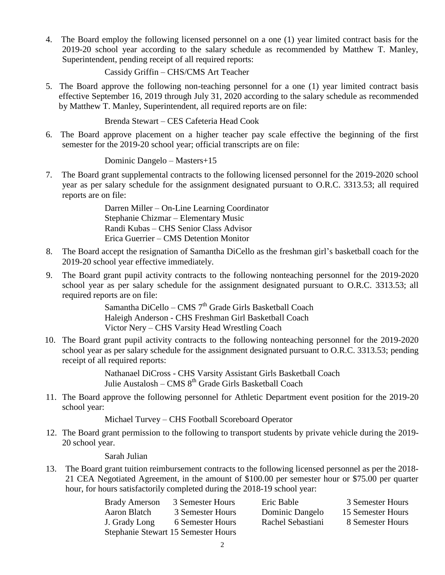4. The Board employ the following licensed personnel on a one (1) year limited contract basis for the 2019-20 school year according to the salary schedule as recommended by Matthew T. Manley, Superintendent, pending receipt of all required reports:

Cassidy Griffin – CHS/CMS Art Teacher

5. The Board approve the following non-teaching personnel for a one (1) year limited contract basis effective September 16, 2019 through July 31, 2020 according to the salary schedule as recommended by Matthew T. Manley, Superintendent, all required reports are on file:

Brenda Stewart – CES Cafeteria Head Cook

 6. The Board approve placement on a higher teacher pay scale effective the beginning of the first semester for the 2019-20 school year; official transcripts are on file:

Dominic Dangelo – Masters+15

7. The Board grant supplemental contracts to the following licensed personnel for the 2019-2020 school year as per salary schedule for the assignment designated pursuant to O.R.C. 3313.53; all required reports are on file:

> Darren Miller – On-Line Learning Coordinator Stephanie Chizmar – Elementary Music Randi Kubas – CHS Senior Class Advisor Erica Guerrier – CMS Detention Monitor

- 8. The Board accept the resignation of Samantha DiCello as the freshman girl's basketball coach for the 2019-20 school year effective immediately.
- 9. The Board grant pupil activity contracts to the following nonteaching personnel for the 2019-2020 school year as per salary schedule for the assignment designated pursuant to O.R.C. 3313.53; all required reports are on file:

Samantha DiCello – CMS 7<sup>th</sup> Grade Girls Basketball Coach Haleigh Anderson - CHS Freshman Girl Basketball Coach Victor Nery – CHS Varsity Head Wrestling Coach

10. The Board grant pupil activity contracts to the following nonteaching personnel for the 2019-2020 school year as per salary schedule for the assignment designated pursuant to O.R.C. 3313.53; pending receipt of all required reports:

> Nathanael DiCross - CHS Varsity Assistant Girls Basketball Coach Julie Austalosh – CMS 8<sup>th</sup> Grade Girls Basketball Coach

11. The Board approve the following personnel for Athletic Department event position for the 2019-20 school year:

Michael Turvey – CHS Football Scoreboard Operator

12. The Board grant permission to the following to transport students by private vehicle during the 2019- 20 school year.

Sarah Julian

13. The Board grant tuition reimbursement contracts to the following licensed personnel as per the 2018- 21 CEA Negotiated Agreement, in the amount of \$100.00 per semester hour or \$75.00 per quarter hour, for hours satisfactorily completed during the 2018-19 school year:

| <b>Brady Amerson</b>                | 3 Semester Hours | Eric Bable        | 3 Semester Hours  |  |
|-------------------------------------|------------------|-------------------|-------------------|--|
| Aaron Blatch                        | 3 Semester Hours | Dominic Dangelo   | 15 Semester Hours |  |
| J. Grady Long                       | 6 Semester Hours | Rachel Sebastiani | 8 Semester Hours  |  |
| Stephanie Stewart 15 Semester Hours |                  |                   |                   |  |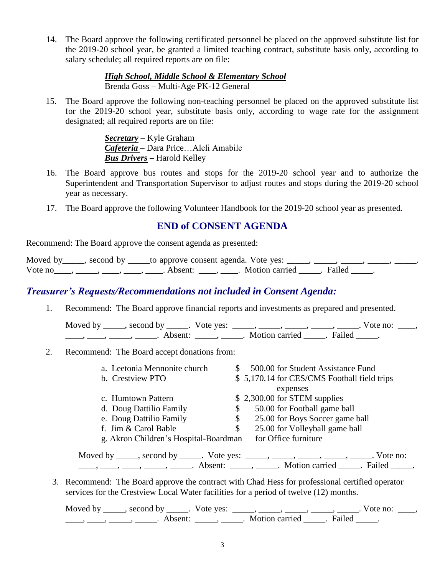14. The Board approve the following certificated personnel be placed on the approved substitute list for the 2019-20 school year, be granted a limited teaching contract, substitute basis only, according to salary schedule; all required reports are on file:

> *High School, Middle School & Elementary School* Brenda Goss – Multi-Age PK-12 General

15. The Board approve the following non-teaching personnel be placed on the approved substitute list for the 2019-20 school year, substitute basis only, according to wage rate for the assignment designated; all required reports are on file:

> *Secretary* – Kyle Graham *Cafeteria* – Dara Price…Aleli Amabile *Bus Drivers –* Harold Kelley

- 16. The Board approve bus routes and stops for the 2019-20 school year and to authorize the Superintendent and Transportation Supervisor to adjust routes and stops during the 2019-20 school year as necessary.
- 17. The Board approve the following Volunteer Handbook for the 2019-20 school year as presented.

#### **END of CONSENT AGENDA**

Recommend: The Board approve the consent agenda as presented:

| Moved by $\qquad$ , second by |                     | _to approve consent agenda. Vote yes: ____ |  |
|-------------------------------|---------------------|--------------------------------------------|--|
| Vote no                       | Absent <sup>.</sup> | . Motion carried . Failed                  |  |

#### *Treasurer's Requests/Recommendations not included in Consent Agenda:*

1. Recommend: The Board approve financial reports and investments as prepared and presented.

Moved by \_\_\_\_\_, second by \_\_\_\_\_. Vote yes: \_\_\_\_\_, \_\_\_\_\_, \_\_\_\_\_, \_\_\_\_\_, \_\_\_\_\_. Vote no: \_\_\_\_, ——, ——, ——, ———, Absent: \_\_\_\_, \_\_\_\_\_. Motion carried \_\_\_\_\_. Failed \_\_\_\_.

2. Recommend: The Board accept donations from:

| a. Leetonia Mennonite church          | \$. | 500.00 for Student Assistance Fund                                                     |
|---------------------------------------|-----|----------------------------------------------------------------------------------------|
| b. Crestview PTO                      |     | \$5,170.14 for CES/CMS Football field trips                                            |
|                                       |     | expenses                                                                               |
| c. Humtown Pattern                    |     | \$2,300.00 for STEM supplies                                                           |
| d. Doug Dattilio Family               | \$  | 50.00 for Football game ball                                                           |
| e. Doug Dattilio Family               | \$  | 25.00 for Boys Soccer game ball                                                        |
| f. Jim & Carol Bable                  | \$  | 25.00 for Volleyball game ball                                                         |
| g. Akron Children's Hospital-Boardman |     | for Office furniture                                                                   |
|                                       |     | Moved by _____, second by _____. Vote yes: _____, _____, _____, _____, _____. Vote no: |
|                                       |     | . Failed                                                                               |

3. Recommend: The Board approve the contract with Chad Hess for professional certified operator services for the Crestview Local Water facilities for a period of twelve (12) months.

Moved by \_\_\_\_\_, second by \_\_\_\_\_. Vote yes:  $\_\_\_\_\_\_\_\_\_\_\_\_\_\_\_$  \_\_\_\_\_, \_\_\_\_\_, \_\_\_\_\_. Vote no:  $\_\_\_\_\_\_\$ \_\_\_\_\_, \_\_\_\_\_\_, \_\_\_\_\_\_\_. Absent: \_\_\_\_\_\_, \_\_\_\_\_\_. Motion carried \_\_\_\_\_\_. Failed \_\_\_\_\_.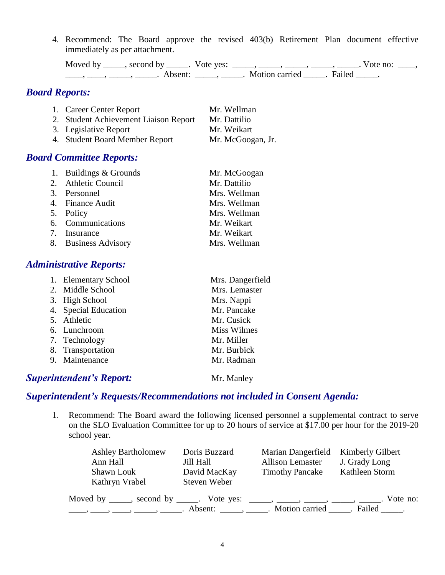4. Recommend: The Board approve the revised 403(b) Retirement Plan document effective immediately as per attachment.

Moved by \_\_\_\_\_, second by \_\_\_\_\_. Vote yes: \_\_\_\_\_, \_\_\_\_\_, \_\_\_\_\_, \_\_\_\_\_, \_\_\_\_\_. Vote no: \_\_\_\_,  $\underbrace{\hspace{2cm}}$ ,  $\underbrace{\hspace{2cm}}$ ,  $\underbrace{\hspace{2cm}}$  Absent:  $\underbrace{\hspace{2cm}}$ ,  $\underbrace{\hspace{2cm}}$ . Motion carried  $\underbrace{\hspace{2cm}}$ . Failed  $\underbrace{\hspace{2cm}}$ .

## *Board Reports:*

| 1. Career Center Report               | Mr. Wellman       |
|---------------------------------------|-------------------|
| 2. Student Achievement Liaison Report | Mr. Dattilio      |
| 3. Legislative Report                 | Mr. Weikart       |
| 4. Student Board Member Report        | Mr. McGoogan, Jr. |

### *Board Committee Reports:*

| 1. Buildings & Grounds | Mr. McGoogan |
|------------------------|--------------|
| 2. Athletic Council    | Mr. Dattilio |
| 3. Personnel           | Mrs. Wellman |
| 4. Finance Audit       | Mrs. Wellman |
| 5. Policy              | Mrs. Wellman |
| 6. Communications      | Mr. Weikart  |
| 7. Insurance           | Mr. Weikart  |
| 8. Business Advisory   | Mrs. Wellman |

#### *Administrative Reports:*

| 1. Elementary School | Mrs. Dangerfield   |
|----------------------|--------------------|
| 2. Middle School     | Mrs. Lemaster      |
| 3. High School       | Mrs. Nappi         |
| 4. Special Education | Mr. Pancake        |
| 5. Athletic          | Mr. Cusick         |
| 6. Lunchroom         | <b>Miss Wilmes</b> |
| 7. Technology        | Mr. Miller         |
| 8. Transportation    | Mr. Burbick        |
| 9. Maintenance       | Mr. Radman         |
|                      |                    |

#### **Superintendent's Report:** Mr. Manley

#### *Superintendent's Requests/Recommendations not included in Consent Agenda:*

1. Recommend: The Board award the following licensed personnel a supplemental contract to serve on the SLO Evaluation Committee for up to 20 hours of service at \$17.00 per hour for the 2019-20 school year.

| <b>Ashley Bartholomew</b><br>Ann Hall<br>Shawn Louk<br>Kathryn Vrabel          | Doris Buzzard<br>Jill Hall<br>David MacKay<br>Steven Weber | Marian Dangerfield<br><b>Allison Lemaster</b><br><b>Timothy Pancake</b> | Kimberly Gilbert<br>J. Grady Long<br>Kathleen Storm |
|--------------------------------------------------------------------------------|------------------------------------------------------------|-------------------------------------------------------------------------|-----------------------------------------------------|
| Moved by _____, second by _____. Vote yes: _____, _____, _____, _____, ______, | Absent: $\qquad \qquad$ , $\qquad \qquad$ .                |                                                                         | Vote no:<br>Motion carried Failed .                 |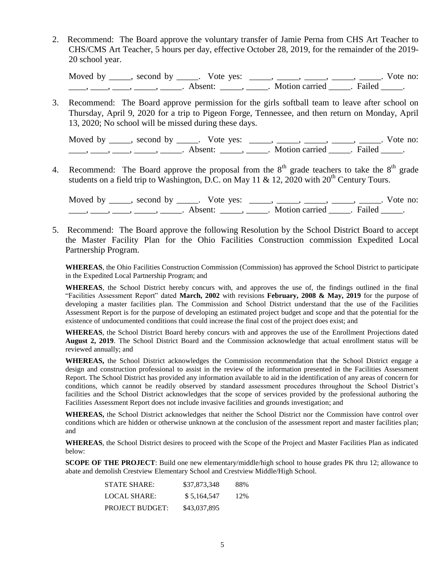2. Recommend: The Board approve the voluntary transfer of Jamie Perna from CHS Art Teacher to CHS/CMS Art Teacher, 5 hours per day, effective October 28, 2019, for the remainder of the 2019- 20 school year.

Moved by \_\_\_\_\_, second by \_\_\_\_\_. Vote yes: \_\_\_\_\_, \_\_\_\_\_, \_\_\_\_\_, \_\_\_\_\_, \_\_\_\_\_. Vote no: \_\_\_\_\_, \_\_\_\_\_, \_\_\_\_\_, \_\_\_\_\_\_. Absent: \_\_\_\_\_, \_\_\_\_\_. Motion carried \_\_\_\_\_. Failed \_\_\_\_\_.

3. Recommend: The Board approve permission for the girls softball team to leave after school on Thursday, April 9, 2020 for a trip to Pigeon Forge, Tennessee, and then return on Monday, April 13, 2020; No school will be missed during these days.

Moved by \_\_\_\_, second by \_\_\_\_\_. Vote yes:  $\frac{1}{\sqrt{2}}$ , \_\_\_\_, \_\_\_\_, \_\_\_\_, \_\_\_\_. Vote no: \_\_\_\_\_, \_\_\_\_\_, \_\_\_\_\_, \_\_\_\_\_\_. Absent: \_\_\_\_\_\_, \_\_\_\_\_. Motion carried \_\_\_\_\_\_. Failed \_\_\_\_\_.

4. Recommend: The Board approve the proposal from the  $8<sup>th</sup>$  grade teachers to take the  $8<sup>th</sup>$  grade students on a field trip to Washington, D.C. on May 11 & 12, 2020 with  $20^{th}$  Century Tours.

Moved by \_\_\_\_\_, second by \_\_\_\_\_. Vote yes: \_\_\_\_\_, \_\_\_\_\_, \_\_\_\_\_, \_\_\_\_\_, \_\_\_\_\_. Vote no:  $\underline{\phantom{a}}$ ,  $\underline{\phantom{a}}$ ,  $\underline{\phantom{a}}$ ,  $\underline{\phantom{a}}$ ,  $\underline{\phantom{a}}$ ,  $\underline{\phantom{a}}$ ,  $\underline{\phantom{a}}$ ,  $\underline{\phantom{a}}$ ,  $\underline{\phantom{a}}$ ,  $\underline{\phantom{a}}$ ,  $\underline{\phantom{a}}$ ,  $\underline{\phantom{a}}$ ,  $\underline{\phantom{a}}$ ,  $\underline{\phantom{a}}$ ,  $\underline{\phantom{a}}$ ,  $\underline{\phantom{a}}$ ,  $\underline{\phantom{a}}$ ,

5. Recommend: The Board approve the following Resolution by the School District Board to accept the Master Facility Plan for the Ohio Facilities Construction commission Expedited Local Partnership Program.

**WHEREAS**, the Ohio Facilities Construction Commission (Commission) has approved the School District to participate in the Expedited Local Partnership Program; and

**WHEREAS**, the School District hereby concurs with, and approves the use of, the findings outlined in the final "Facilities Assessment Report" dated **March, 2002** with revisions **February, 2008 & May, 2019** for the purpose of developing a master facilities plan. The Commission and School District understand that the use of the Facilities Assessment Report is for the purpose of developing an estimated project budget and scope and that the potential for the existence of undocumented conditions that could increase the final cost of the project does exist; and

**WHEREAS**, the School District Board hereby concurs with and approves the use of the Enrollment Projections dated **August 2, 2019**. The School District Board and the Commission acknowledge that actual enrollment status will be reviewed annually; and

**WHEREAS,** the School District acknowledges the Commission recommendation that the School District engage a design and construction professional to assist in the review of the information presented in the Facilities Assessment Report. The School District has provided any information available to aid in the identification of any areas of concern for conditions, which cannot be readily observed by standard assessment procedures throughout the School District's facilities and the School District acknowledges that the scope of services provided by the professional authoring the Facilities Assessment Report does not include invasive facilities and grounds investigation; and

**WHEREAS,** the School District acknowledges that neither the School District nor the Commission have control over conditions which are hidden or otherwise unknown at the conclusion of the assessment report and master facilities plan; and

**WHEREAS**, the School District desires to proceed with the Scope of the Project and Master Facilities Plan as indicated below:

**SCOPE OF THE PROJECT**: Build one new elementary/middle/high school to house grades PK thru 12; allowance to abate and demolish Crestview Elementary School and Crestview Middle/High School.

| <b>STATE SHARE:</b>    | \$37,873,348 | 88% |
|------------------------|--------------|-----|
| LOCAL SHARE:           | \$5.164.547  | 12% |
| <b>PROJECT BUDGET:</b> | \$43,037,895 |     |